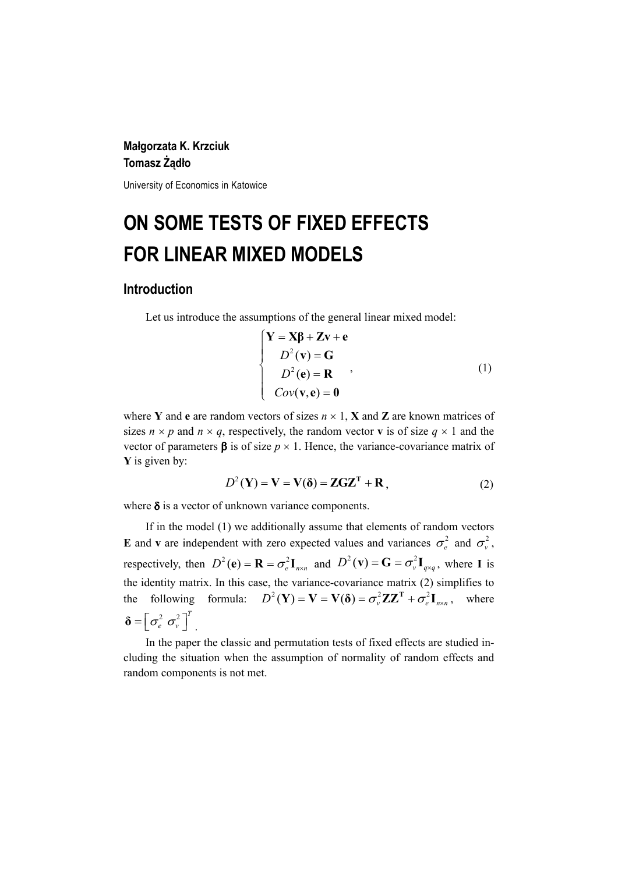## **Małgorzata K. Krzciuk Tomasz Żądło**

University of Economics in Katowice

# **ON SOME TESTS OF FIXED EFFECTS FOR LINEAR MIXED MODELS**

## **Introduction**

Let us introduce the assumptions of the general linear mixed model:

$$
\begin{cases}\n\mathbf{Y} = \mathbf{X}\boldsymbol{\beta} + \mathbf{Z}\mathbf{v} + \mathbf{e} \\
D^2(\mathbf{v}) = \mathbf{G} \\
D^2(\mathbf{e}) = \mathbf{R} \\
Cov(\mathbf{v}, \mathbf{e}) = \mathbf{0}\n\end{cases}
$$
\n(1)

where **Y** and **e** are random vectors of sizes  $n \times 1$ , **X** and **Z** are known matrices of sizes  $n \times p$  and  $n \times q$ , respectively, the random vector **v** is of size  $q \times 1$  and the vector of parameters  $\beta$  is of size  $p \times 1$ . Hence, the variance-covariance matrix of **Y** is given by:

$$
D^{2}(\mathbf{Y}) = \mathbf{V} = \mathbf{V}(\delta) = \mathbf{ZGZ}^{T} + \mathbf{R},
$$
 (2)

where  $\delta$  is a vector of unknown variance components.

If in the model (1) we additionally assume that elements of random vectors **E** and **v** are independent with zero expected values and variances  $\sigma_e^2$  and  $\sigma_v^2$ , respectively, then  $D^2(\mathbf{e}) = \mathbf{R} = \sigma_e^2 \mathbf{I}_{n \times n}$  and  $D^2(\mathbf{v}) = \mathbf{G} = \sigma_v^2 \mathbf{I}_{q \times q}$ , where **I** is the identity matrix. In this case, the variance-covariance matrix (2) simplifies to the following formula:  $D^2(\mathbf{Y}) = \mathbf{V} = \mathbf{V}(\mathbf{\delta}) = \sigma_v^2 \mathbf{Z} \mathbf{Z}^{\mathrm{T}} + \sigma_e^2 \mathbf{I}_{n \times n}$ , where  $\boldsymbol{\delta} = \left[ \sigma_e^2 \ \sigma_v^2 \right]^T$ .

In the paper the classic and permutation tests of fixed effects are studied including the situation when the assumption of normality of random effects and random components is not met.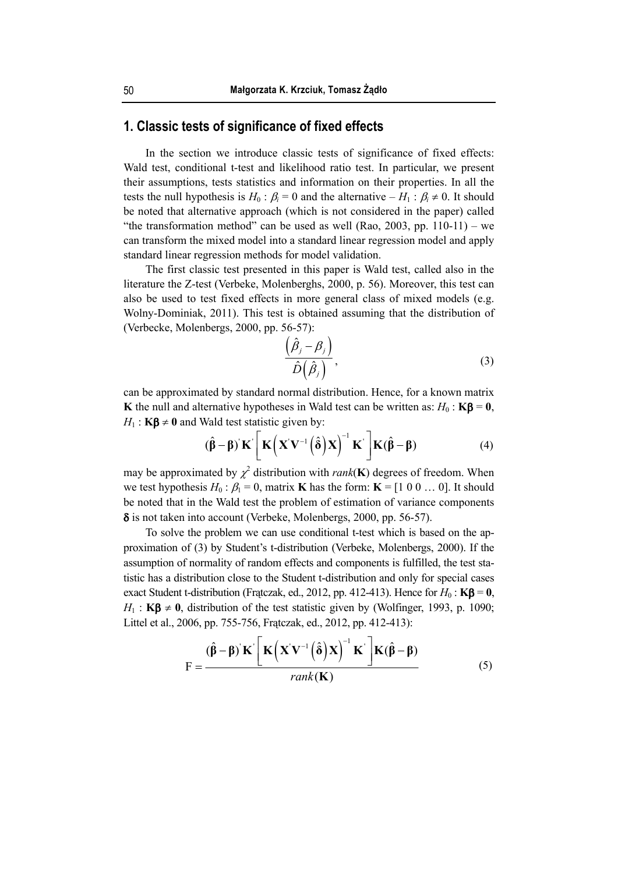## **1. Classic tests of significance of fixed effects**

In the section we introduce classic tests of significance of fixed effects: Wald test, conditional t-test and likelihood ratio test. In particular, we present their assumptions, tests statistics and information on their properties. In all the tests the null hypothesis is  $H_0: \beta_i = 0$  and the alternative  $-H_1: \beta_i \neq 0$ . It should be noted that alternative approach (which is not considered in the paper) called "the transformation method" can be used as well (Rao, 2003, pp.  $110-11$ ) – we can transform the mixed model into a standard linear regression model and apply standard linear regression methods for model validation.

The first classic test presented in this paper is Wald test, called also in the literature the Z-test (Verbeke, Molenberghs, 2000, p. 56). Moreover, this test can also be used to test fixed effects in more general class of mixed models (e.g. Wolny-Dominiak, 2011). This test is obtained assuming that the distribution of (Verbecke, Molenbergs, 2000, pp. 56-57):

$$
\frac{\left(\hat{\beta}_j - \beta_j\right)}{\hat{D}\left(\hat{\beta}_j\right)},\tag{3}
$$

can be approximated by standard normal distribution. Hence, for a known matrix **K** the null and alternative hypotheses in Wald test can be written as:  $H_0$ : **K** $\beta$  = **0**,  $H_1$ : **Kβ**  $\neq$  **0** and Wald test statistic given by:

$$
(\hat{\beta} - \beta) \mathbf{K}' \left[ \mathbf{K} \left( \mathbf{X}' \mathbf{V}^{-1} \left( \hat{\delta} \right) \mathbf{X} \right)^{-1} \mathbf{K}' \right] \mathbf{K} (\hat{\beta} - \beta) \tag{4}
$$

may be approximated by  $\chi^2$  distribution with *rank*(**K**) degrees of freedom. When we test hypothesis  $H_0: \beta_1 = 0$ , matrix **K** has the form: **K** = [1 0 0 … 0]. It should be noted that in the Wald test the problem of estimation of variance components δ is not taken into account (Verbeke, Molenbergs, 2000, pp. 56-57).

To solve the problem we can use conditional t-test which is based on the approximation of (3) by Student's t-distribution (Verbeke, Molenbergs, 2000). If the assumption of normality of random effects and components is fulfilled, the test statistic has a distribution close to the Student t-distribution and only for special cases exact Student t-distribution (Fratczak, ed., 2012, pp. 412-413). Hence for  $H_0$ : **K** $\beta$  = **0**,  $H_1$ : **Kβ**  $\neq$  **0**, distribution of the test statistic given by (Wolfinger, 1993, p. 1090; Littel et al., 2006, pp. 755-756, Frątczak, ed., 2012, pp. 412-413):

$$
F = \frac{(\hat{\beta} - \beta) \mathbf{K} \left[ \mathbf{K} \left( \mathbf{X} \mathbf{V}^{-1} \left( \hat{\delta} \right) \mathbf{X} \right)^{-1} \mathbf{K} \right] \mathbf{K} (\hat{\beta} - \beta)}{\text{rank}(\mathbf{K})} \tag{5}
$$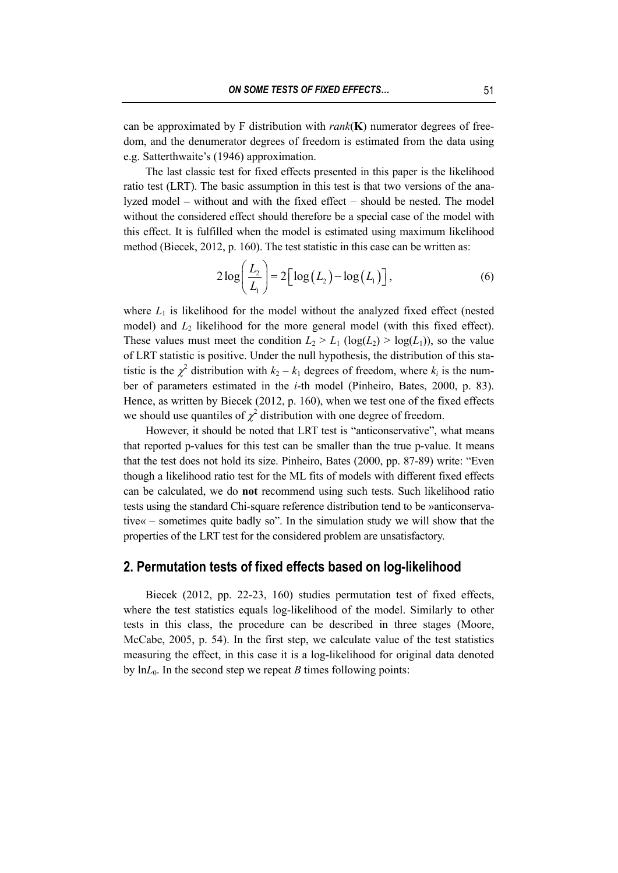can be approximated by F distribution with *rank*(**K**) numerator degrees of freedom, and the denumerator degrees of freedom is estimated from the data using e.g. Satterthwaite's (1946) approximation.

The last classic test for fixed effects presented in this paper is the likelihood ratio test (LRT). The basic assumption in this test is that two versions of the analyzed model – without and with the fixed effect − should be nested. The model without the considered effect should therefore be a special case of the model with this effect. It is fulfilled when the model is estimated using maximum likelihood method (Biecek, 2012, p. 160). The test statistic in this case can be written as:

$$
2\log\left(\frac{L_2}{L_1}\right) = 2\left[\log\left(L_2\right) - \log\left(L_1\right)\right],\tag{6}
$$

where  $L_1$  is likelihood for the model without the analyzed fixed effect (nested model) and  $L_2$  likelihood for the more general model (with this fixed effect). These values must meet the condition  $L_2 > L_1$  (log( $L_2$ ) > log( $L_1$ )), so the value of LRT statistic is positive. Under the null hypothesis, the distribution of this statistic is the  $\chi^2$  distribution with  $k_2 - k_1$  degrees of freedom, where  $k_i$  is the number of parameters estimated in the *i*-th model (Pinheiro, Bates, 2000, p. 83). Hence, as written by Biecek (2012, p. 160), when we test one of the fixed effects we should use quantiles of  $\chi^2$  distribution with one degree of freedom.

However, it should be noted that LRT test is "anticonservative", what means that reported p-values for this test can be smaller than the true p-value. It means that the test does not hold its size. Pinheiro, Bates (2000, pp. 87-89) write: "Even though a likelihood ratio test for the ML fits of models with different fixed effects can be calculated, we do **not** recommend using such tests. Such likelihood ratio tests using the standard Chi-square reference distribution tend to be »anticonservative« – sometimes quite badly so". In the simulation study we will show that the properties of the LRT test for the considered problem are unsatisfactory.

## **2. Permutation tests of fixed effects based on log-likelihood**

Biecek (2012, pp. 22-23, 160) studies permutation test of fixed effects, where the test statistics equals log-likelihood of the model. Similarly to other tests in this class, the procedure can be described in three stages (Moore, McCabe, 2005, p. 54). In the first step, we calculate value of the test statistics measuring the effect, in this case it is a log-likelihood for original data denoted by  $ln L<sub>0</sub>$ . In the second step we repeat *B* times following points: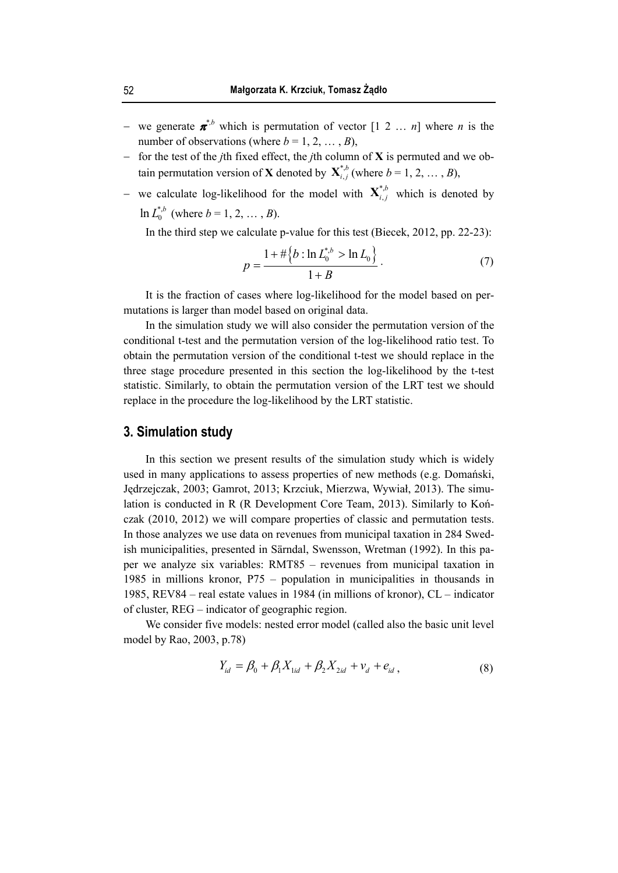- − we generate <sup>π</sup> *\*,b* which is permutation of vector [1 2 … *n*] where *n* is the number of observations (where  $b = 1, 2, ..., B$ ),
- − for the test of the *j*th fixed effect, the *j*th column of **X** is permuted and we obtain permutation version of **X** denoted by  $\mathbf{X}_{i,j}^{*,b}$  (where  $b = 1, 2, ..., B$ ),
- − we calculate log-likelihood for the model with  $\mathbf{X}^{*,b}_{i,j}$  which is denoted by  $\ln L_0^{*,b}$  (where  $b = 1, 2, ..., B$ ).

In the third step we calculate p-value for this test (Biecek, 2012, pp. 22-23):

$$
p = \frac{1 + \# \left\{ b : \ln L_0^{*,b} > \ln L_0 \right\}}{1 + B} \,. \tag{7}
$$

It is the fraction of cases where log-likelihood for the model based on permutations is larger than model based on original data.

In the simulation study we will also consider the permutation version of the conditional t-test and the permutation version of the log-likelihood ratio test. To obtain the permutation version of the conditional t-test we should replace in the three stage procedure presented in this section the log-likelihood by the t-test statistic. Similarly, to obtain the permutation version of the LRT test we should replace in the procedure the log-likelihood by the LRT statistic.

#### **3. Simulation study**

In this section we present results of the simulation study which is widely used in many applications to assess properties of new methods (e.g. Domański, Jędrzejczak, 2003; Gamrot, 2013; Krzciuk, Mierzwa, Wywiał, 2013). The simulation is conducted in R (R Development Core Team, 2013). Similarly to Kończak (2010, 2012) we will compare properties of classic and permutation tests. In those analyzes we use data on revenues from municipal taxation in 284 Swedish municipalities, presented in Särndal, Swensson, Wretman (1992). In this paper we analyze six variables: RMT85 – revenues from municipal taxation in 1985 in millions kronor, P75 – population in municipalities in thousands in 1985, REV84 – real estate values in 1984 (in millions of kronor), CL – indicator of cluster, REG – indicator of geographic region.

We consider five models: nested error model (called also the basic unit level model by Rao, 2003, p.78)

$$
Y_{id} = \beta_0 + \beta_1 X_{1id} + \beta_2 X_{2id} + \nu_d + e_{id} \,, \tag{8}
$$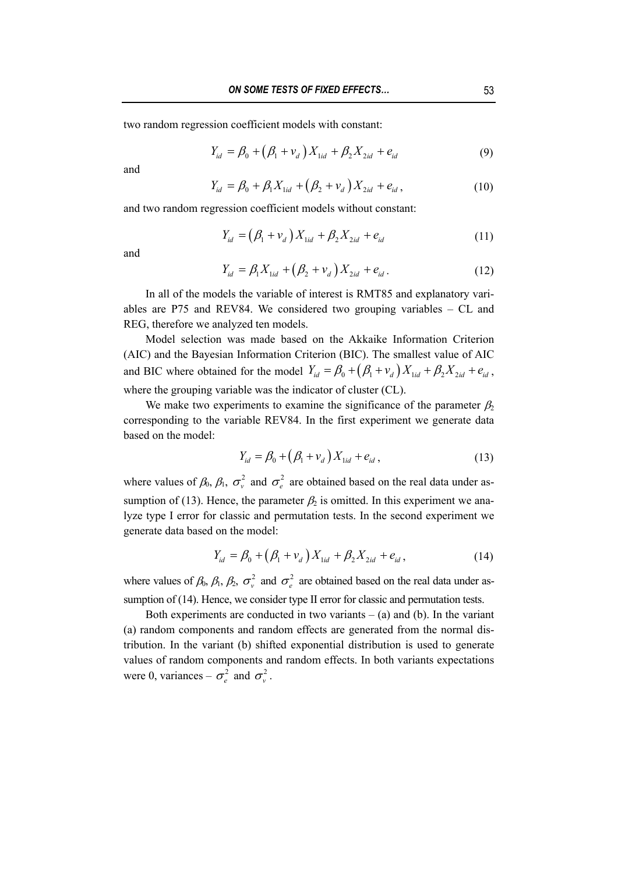two random regression coefficient models with constant:

$$
Y_{id} = \beta_0 + (\beta_1 + \nu_d) X_{1id} + \beta_2 X_{2id} + e_{id}
$$
 (9)

and

$$
Y_{id} = \beta_0 + \beta_1 X_{1id} + (\beta_2 + \nu_d) X_{2id} + e_{id}, \qquad (10)
$$

and two random regression coefficient models without constant:

$$
Y_{id} = (\beta_1 + v_d) X_{1id} + \beta_2 X_{2id} + e_{id}
$$
 (11)

and

$$
Y_{id} = \beta_1 X_{1id} + (\beta_2 + \nu_d) X_{2id} + e_{id}.
$$
 (12)

In all of the models the variable of interest is RMT85 and explanatory variables are P75 and REV84. We considered two grouping variables – CL and REG, therefore we analyzed ten models.

Model selection was made based on the Akkaike Information Criterion (AIC) and the Bayesian Information Criterion (BIC). The smallest value of AIC and BIC where obtained for the model  $Y_{id} = \beta_0 + (\beta_1 + v_d) X_{1id} + \beta_2 X_{2id} + e_{id}$ , where the grouping variable was the indicator of cluster (CL).

We make two experiments to examine the significance of the parameter  $\beta_2$ corresponding to the variable REV84. In the first experiment we generate data based on the model:

$$
Y_{id} = \beta_0 + (\beta_1 + v_d) X_{1id} + e_{id} ,
$$
 (13)

where values of  $\beta_0$ ,  $\beta_1$ ,  $\sigma_v^2$  and  $\sigma_e^2$  are obtained based on the real data under assumption of (13). Hence, the parameter  $\beta_2$  is omitted. In this experiment we analyze type I error for classic and permutation tests. In the second experiment we generate data based on the model:

$$
Y_{id} = \beta_0 + (\beta_1 + \nu_d) X_{1id} + \beta_2 X_{2id} + e_{id}, \qquad (14)
$$

where values of  $\beta_0$ ,  $\beta_1$ ,  $\beta_2$ ,  $\sigma_v^2$  and  $\sigma_e^2$  are obtained based on the real data under assumption of (14). Hence, we consider type II error for classic and permutation tests.

Both experiments are conducted in two variants  $-$  (a) and (b). In the variant (a) random components and random effects are generated from the normal distribution. In the variant (b) shifted exponential distribution is used to generate values of random components and random effects. In both variants expectations were 0, variances –  $\sigma_{\rm e}^2$  and  $\sigma_{\rm v}^2$ .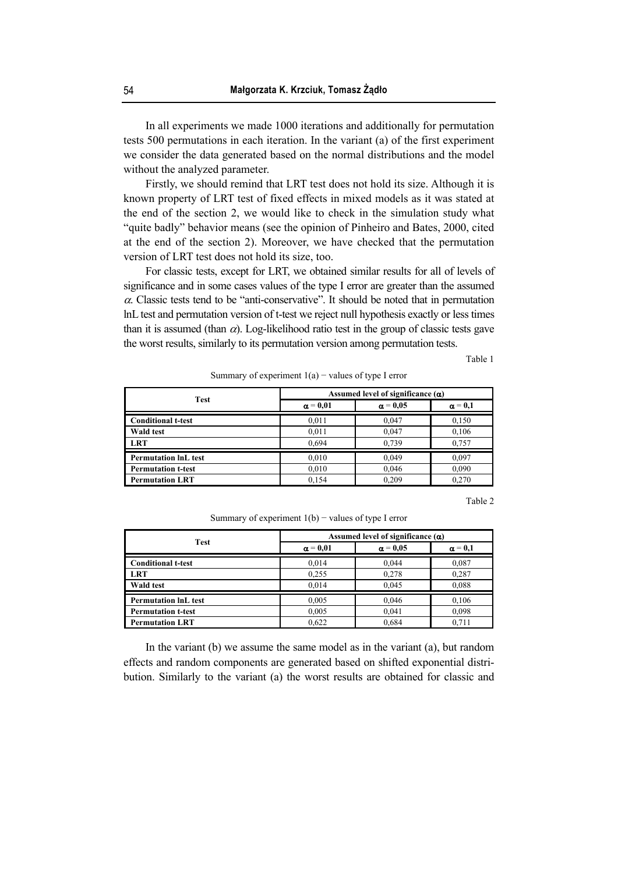In all experiments we made 1000 iterations and additionally for permutation tests 500 permutations in each iteration. In the variant (a) of the first experiment we consider the data generated based on the normal distributions and the model without the analyzed parameter.

Firstly, we should remind that LRT test does not hold its size. Although it is known property of LRT test of fixed effects in mixed models as it was stated at the end of the section 2, we would like to check in the simulation study what "quite badly" behavior means (see the opinion of Pinheiro and Bates, 2000, cited at the end of the section 2). Moreover, we have checked that the permutation version of LRT test does not hold its size, too.

For classic tests, except for LRT, we obtained similar results for all of levels of significance and in some cases values of the type I error are greater than the assumed  $\alpha$ . Classic tests tend to be "anti-conservative". It should be noted that in permutation lnL test and permutation version of t-test we reject null hypothesis exactly or less times than it is assumed (than  $\alpha$ ). Log-likelihood ratio test in the group of classic tests gave the worst results, similarly to its permutation version among permutation tests.

Table 1

Summary of experiment  $1(a)$  – values of type I error

| <b>Test</b>                 | Assumed level of significance $(\alpha)$ |                 |                |
|-----------------------------|------------------------------------------|-----------------|----------------|
|                             | $\alpha = 0.01$                          | $\alpha = 0.05$ | $\alpha = 0.1$ |
| <b>Conditional t-test</b>   | 0,011                                    | 0,047           | 0,150          |
| <b>Wald test</b>            | 0,011                                    | 0,047           | 0.106          |
| <b>LRT</b>                  | 0,694                                    | 0.739           | 0.757          |
| <b>Permutation InL test</b> | 0,010                                    | 0.049           | 0.097          |
| <b>Permutation t-test</b>   | 0,010                                    | 0,046           | 0,090          |
| <b>Permutation LRT</b>      | 0.154                                    | 0.209           | 0,270          |

Table 2

Summary of experiment  $1(b)$  – values of type I error

| Test                        | Assumed level of significance $(\alpha)$ |                 |                |
|-----------------------------|------------------------------------------|-----------------|----------------|
|                             | $\alpha = 0.01$                          | $\alpha = 0.05$ | $\alpha = 0.1$ |
| <b>Conditional t-test</b>   | 0.014                                    | 0.044           | 0.087          |
| <b>LRT</b>                  | 0.255                                    | 0.278           | 0,287          |
| <b>Wald test</b>            | 0.014                                    | 0.045           | 0.088          |
| <b>Permutation InL test</b> | 0.005                                    | 0.046           | 0.106          |
| <b>Permutation t-test</b>   | 0.005                                    | 0,041           | 0.098          |
| <b>Permutation LRT</b>      | 0.622                                    | 0.684           | 0.711          |

In the variant (b) we assume the same model as in the variant (a), but random effects and random components are generated based on shifted exponential distribution. Similarly to the variant (a) the worst results are obtained for classic and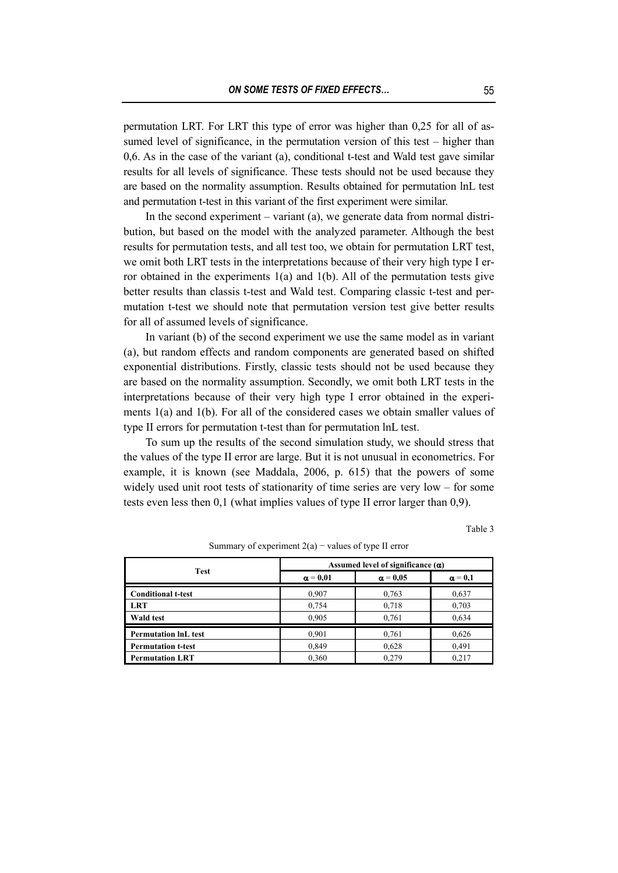permutation LRT. For LRT this type of error was higher than 0,25 for all of assumed level of significance, in the permutation version of this test – higher than 0,6. As in the case of the variant (a), conditional t-test and Wald test gave similar results for all levels of significance. These tests should not be used because they are based on the normality assumption. Results obtained for permutation lnL test and permutation t-test in this variant of the first experiment were similar.

In the second experiment – variant (a), we generate data from normal distribution, but based on the model with the analyzed parameter. Although the best results for permutation tests, and all test too, we obtain for permutation LRT test, we omit both LRT tests in the interpretations because of their very high type I error obtained in the experiments 1(a) and 1(b). All of the permutation tests give better results than classis t-test and Wald test. Comparing classic t-test and permutation t-test we should note that permutation version test give better results for all of assumed levels of significance.

In variant (b) of the second experiment we use the same model as in variant (a), but random effects and random components are generated based on shifted exponential distributions. Firstly, classic tests should not be used because they are based on the normality assumption. Secondly, we omit both LRT tests in the interpretations because of their very high type I error obtained in the experiments 1(a) and 1(b). For all of the considered cases we obtain smaller values of type II errors for permutation t-test than for permutation lnL test.

To sum up the results of the second simulation study, we should stress that the values of the type II error are large. But it is not unusual in econometrics. For example, it is known (see Maddala, 2006, p. 615) that the powers of some widely used unit root tests of stationarity of time series are very low – for some tests even less then 0,1 (what implies values of type II error larger than 0,9).

Table 3

| Test                        | Assumed level of significance $(\alpha)$ |                 |                |
|-----------------------------|------------------------------------------|-----------------|----------------|
|                             | $\alpha = 0.01$                          | $\alpha = 0.05$ | $\alpha = 0.1$ |
| <b>Conditional t-test</b>   | 0.907                                    | 0,763           | 0,637          |
| <b>LRT</b>                  | 0,754                                    | 0,718           | 0.703          |
| Wald test                   | 0,905                                    | 0.761           | 0,634          |
| <b>Permutation InL test</b> | 0,901                                    | 0.761           | 0,626          |
| <b>Permutation t-test</b>   | 0.849                                    | 0,628           | 0.491          |
| <b>Permutation LRT</b>      | 0,360                                    | 0.279           | 0,217          |

Summary of experiment  $2(a)$  – values of type II error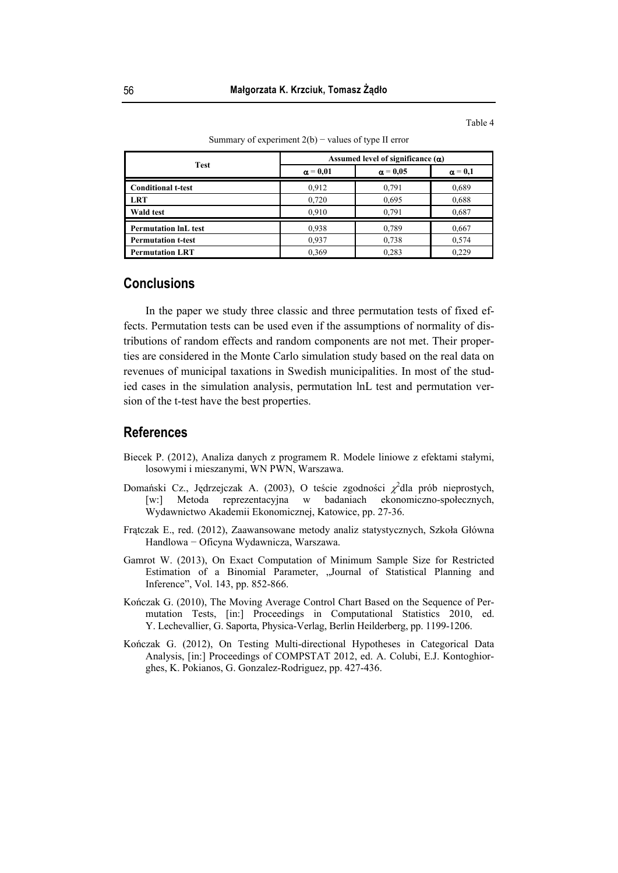Table 4

| <b>Test</b>                 | Assumed level of significance $(\alpha)$ |                 |                |
|-----------------------------|------------------------------------------|-----------------|----------------|
|                             | $\alpha = 0.01$                          | $\alpha = 0.05$ | $\alpha = 0.1$ |
| <b>Conditional t-test</b>   | 0,912                                    | 0.791           | 0,689          |
| <b>LRT</b>                  | 0,720                                    | 0,695           | 0,688          |
| Wald test                   | 0.910                                    | 0.791           | 0.687          |
| <b>Permutation InL test</b> | 0,938                                    | 0.789           | 0,667          |
| <b>Permutation t-test</b>   | 0.937                                    | 0,738           | 0.574          |
| <b>Permutation LRT</b>      | 0.369                                    | 0,283           | 0.229          |

Summary of experiment  $2(b)$  – values of type II error

### **Conclusions**

In the paper we study three classic and three permutation tests of fixed effects. Permutation tests can be used even if the assumptions of normality of distributions of random effects and random components are not met. Their properties are considered in the Monte Carlo simulation study based on the real data on revenues of municipal taxations in Swedish municipalities. In most of the studied cases in the simulation analysis, permutation lnL test and permutation version of the t-test have the best properties.

## **References**

- Biecek P. (2012), Analiza danych z programem R. Modele liniowe z efektami stałymi, losowymi i mieszanymi, WN PWN, Warszawa.
- Domański Cz., Jędrzejczak A. (2003), O teście zgodności  $\chi^2$ dla prób nieprostych, [w:] Metoda reprezentacyjna w badaniach ekonomiczno-społecznych, Wydawnictwo Akademii Ekonomicznej, Katowice, pp. 27-36.
- Frątczak E., red. (2012), Zaawansowane metody analiz statystycznych, Szkoła Główna Handlowa − Oficyna Wydawnicza, Warszawa.
- Gamrot W. (2013), On Exact Computation of Minimum Sample Size for Restricted Estimation of a Binomial Parameter, "Journal of Statistical Planning and Inference", Vol. 143, pp. 852-866.
- Kończak G. (2010), The Moving Average Control Chart Based on the Sequence of Permutation Tests, [in:] Proceedings in Computational Statistics 2010, ed. Y. Lechevallier, G. Saporta, Physica-Verlag, Berlin Heilderberg, pp. 1199-1206.
- Kończak G. (2012), On Testing Multi-directional Hypotheses in Categorical Data Analysis, [in:] Proceedings of COMPSTAT 2012, ed. A. Colubi, E.J. Kontoghiorghes, K. Pokianos, G. Gonzalez-Rodriguez, pp. 427-436.